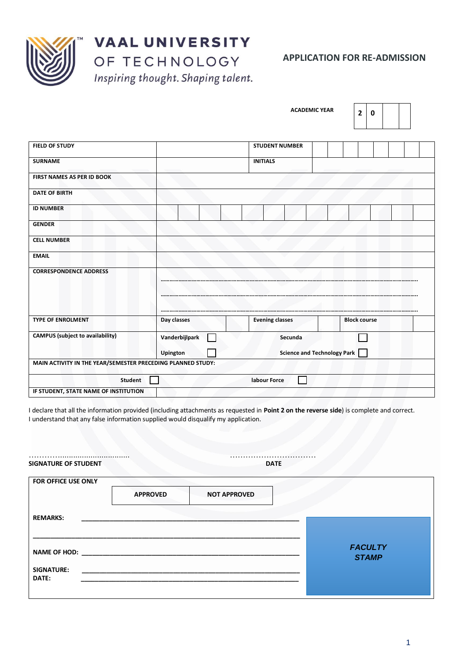

**VAAL UNIVERSITY** OF TECHNOLOGY

Inspiring thought. Shaping talent.

|                                                             |                | <b>ACADEMIC YEAR</b>   | $\overline{2}$<br>0                |  |
|-------------------------------------------------------------|----------------|------------------------|------------------------------------|--|
| <b>FIELD OF STUDY</b>                                       |                | <b>STUDENT NUMBER</b>  |                                    |  |
| <b>SURNAME</b>                                              |                | <b>INITIALS</b>        |                                    |  |
| FIRST NAMES AS PER ID BOOK                                  |                |                        |                                    |  |
| <b>DATE OF BIRTH</b>                                        |                |                        |                                    |  |
| <b>ID NUMBER</b>                                            |                |                        |                                    |  |
| <b>GENDER</b>                                               |                |                        |                                    |  |
| <b>CELL NUMBER</b>                                          |                |                        |                                    |  |
| <b>EMAIL</b>                                                |                |                        |                                    |  |
| <b>CORRESPONDENCE ADDRESS</b>                               |                |                        |                                    |  |
| <b>TYPE OF ENROLMENT</b>                                    | Day classes    | <b>Evening classes</b> | <b>Block course</b>                |  |
| <b>CAMPUS</b> (subject to availability)                     | Vanderbijlpark | Secunda                |                                    |  |
| MAIN ACTIVITY IN THE YEAR/SEMESTER PRECEDING PLANNED STUDY: | Upington       |                        | <b>Science and Technology Park</b> |  |
| <b>Student</b>                                              |                | labour Force           |                                    |  |
| IF STUDENT, STATE NAME OF INSTITUTION                       |                |                        |                                    |  |

I declare that all the information provided (including attachments as requested in **Point 2 on the reverse side**) is complete and correct. I understand that any false information supplied would disqualify my application.

| <b>FOR OFFICE USE ONLY</b> |                 |                     |  |
|----------------------------|-----------------|---------------------|--|
|                            |                 |                     |  |
|                            | <b>APPROVED</b> | <b>NOT APPROVED</b> |  |

NAME OF HOD:

SIGNATURE:

**\_\_\_\_\_\_\_\_\_\_\_\_\_\_\_\_\_\_\_\_\_\_\_\_\_\_\_\_\_\_\_\_\_\_\_\_\_\_\_\_\_\_\_\_\_\_\_\_\_\_\_\_\_\_\_\_\_\_\_\_\_\_\_\_\_\_\_\_\_\_\_\_\_\_\_\_**

**DATE: \_\_\_\_\_\_\_\_\_\_\_\_\_\_\_\_\_\_\_\_\_\_\_\_\_\_\_\_\_\_\_\_\_\_\_\_\_\_\_\_\_\_\_\_\_\_\_\_\_\_\_\_\_\_\_\_\_\_\_\_\_\_**

*FACULTY STAMP*